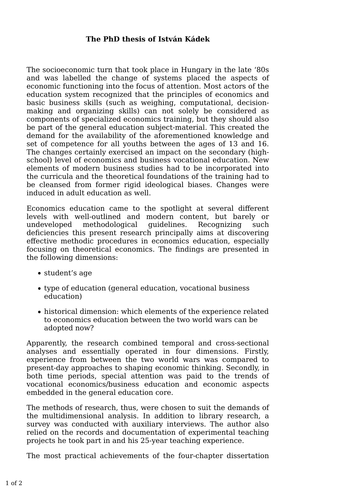## **The PhD thesis of István Kádek**

The socioeconomic turn that took place in Hungary in the late '80s and was labelled the change of systems placed the aspects of economic functioning into the focus of attention. Most actors of the education system recognized that the principles of economics and basic business skills (such as weighing, computational, decisionmaking and organizing skills) can not solely be considered as components of specialized economics training, but they should also be part of the general education subject-material. This created the demand for the availability of the aforementioned knowledge and set of competence for all youths between the ages of 13 and 16. The changes certainly exercised an impact on the secondary (highschool) level of economics and business vocational education. New elements of modern business studies had to be incorporated into the curricula and the theoretical foundations of the training had to be cleansed from former rigid ideological biases. Changes were induced in adult education as well.

Economics education came to the spotlight at several different levels with well-outlined and modern content, but barely or undeveloped methodological guidelines. Recognizing such deficiencies this present research principally aims at discovering effective methodic procedures in economics education, especially focusing on theoretical economics. The findings are presented in the following dimensions:

- student's age
- type of education (general education, vocational business education)
- historical dimension: which elements of the experience related to economics education between the two world wars can be adopted now?

Apparently, the research combined temporal and cross-sectional analyses and essentially operated in four dimensions. Firstly, experience from between the two world wars was compared to present-day approaches to shaping economic thinking. Secondly, in both time periods, special attention was paid to the trends of vocational economics/business education and economic aspects embedded in the general education core.

The methods of research, thus, were chosen to suit the demands of the multidimensional analysis. In addition to library research, a survey was conducted with auxiliary interviews. The author also relied on the records and documentation of experimental teaching projects he took part in and his 25-year teaching experience.

The most practical achievements of the four-chapter dissertation